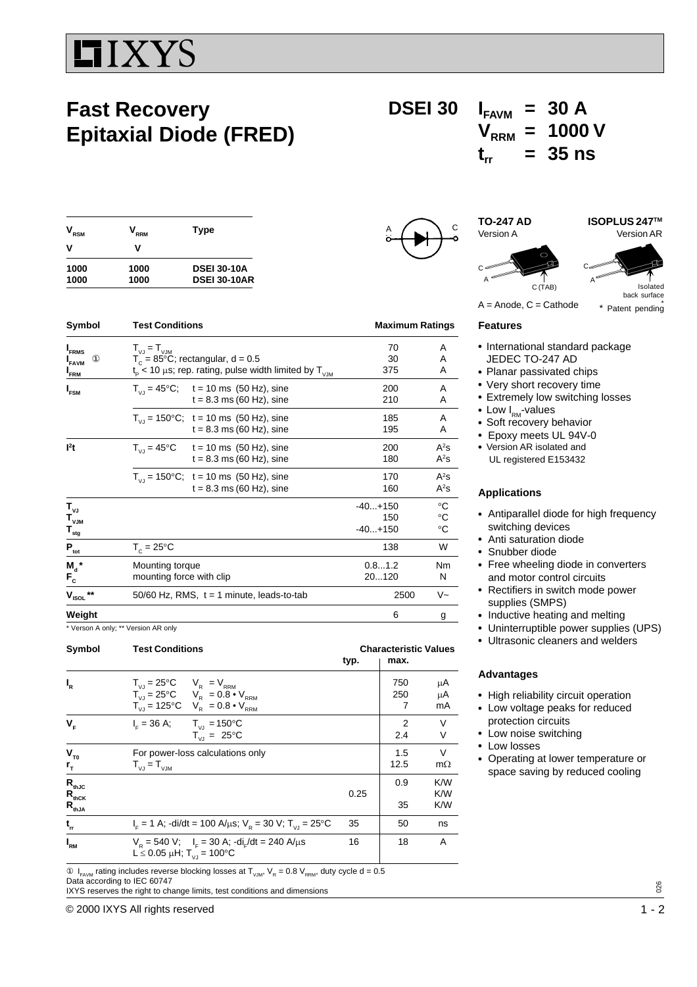# **IIXYS**

## **Fast Recovery Epitaxial Diode (FRED)**

### **DSEI 30**  $I_{FAVM} = 30$  A  $V_{RRM}$  = 1000 V  $t_{rr}$  = 35 ns

| RRM  | Type                |  |  |
|------|---------------------|--|--|
| v    |                     |  |  |
| 1000 | <b>DSEI 30-10A</b>  |  |  |
| 1000 | <b>DSEI 30-10AR</b> |  |  |
|      |                     |  |  |

| Symbol<br><b>Test Conditions</b>                                        |                                                                                                                                              | <b>Maximum Ratings</b>                                                         |                               |                                            |
|-------------------------------------------------------------------------|----------------------------------------------------------------------------------------------------------------------------------------------|--------------------------------------------------------------------------------|-------------------------------|--------------------------------------------|
| <b>I</b> <sub>FRMS</sub><br>$^{\circledR}$<br><b>FAVM</b><br><b>FRM</b> | $T_{V1} = T_{V1M}$<br>$T_c = 85^{\circ}$ C; rectangular, d = 0.5<br>$t_{\rm p}$ < 10 µs; rep. rating, pulse width limited by T <sub>VM</sub> |                                                                                | 70<br>30<br>375               | A<br>A<br>A                                |
| I <sub>FSM</sub>                                                        |                                                                                                                                              | $T_{V1} = 45^{\circ}$ C; t = 10 ms (50 Hz), sine<br>$t = 8.3$ ms (60 Hz), sine | 200<br>210                    | A<br>A                                     |
|                                                                         |                                                                                                                                              | $T_{V1}$ = 150°C; t = 10 ms (50 Hz), sine<br>$t = 8.3$ ms (60 Hz), sine        | 185<br>195                    | A<br>A                                     |
| l <sup>2</sup> t                                                        |                                                                                                                                              | $T_{V1} = 45^{\circ}$ C t = 10 ms (50 Hz), sine<br>$t = 8.3$ ms (60 Hz), sine  | 200<br>180                    | $A^2S$<br>$A^2s$                           |
|                                                                         |                                                                                                                                              | $T_{V,1}$ = 150°C; t = 10 ms (50 Hz), sine<br>$t = 8.3$ ms (60 Hz), sine       | 170<br>160                    | $A^2S$<br>$A^2S$                           |
| $T_{\nu J}$<br>$\mathbf{T}_{\mathsf{v} \mathsf{J} \mathsf{M}}$<br>stg   |                                                                                                                                              |                                                                                | $-40+150$<br>150<br>$-40+150$ | °C<br>$^{\circ}{\rm C}$<br>$\rm ^{\circ}C$ |
| $\mathbf{P}_{\underline{\text{tot}}}$                                   | $T_c = 25^{\circ}$ C                                                                                                                         |                                                                                | 138                           | W                                          |
| $M_a$ *<br>$F_c$                                                        | Mounting torque<br>mounting force with clip                                                                                                  |                                                                                | 0.81.2<br>20120               | Nm<br>N                                    |
| $***$<br>$V_{ISOL}$                                                     |                                                                                                                                              | 50/60 Hz, RMS, $t = 1$ minute, leads-to-tab                                    | 2500                          | $V -$                                      |
| Weight                                                                  |                                                                                                                                              |                                                                                | 6                             | g                                          |

\* Verson A only; \*\* Version AR only

| <b>Test Conditions</b>                                                                                                                                     |      | <b>Characteristic Values</b><br>typ.<br>max. |                     |
|------------------------------------------------------------------------------------------------------------------------------------------------------------|------|----------------------------------------------|---------------------|
| $T_{VJ} = 25^{\circ}C$ $V_R = V_{RRM}$<br>$T_{VJ}^{V} = 25^{\circ}C$ $V_{R}^{V} = 0.8 \cdot V_{RRM}$<br>$T_{V,I} = 125^{\circ}C$ $V_R = 0.8 \cdot V_{RRM}$ |      | 750<br>250<br>7                              | μA<br>μA<br>mA      |
| $I_{\rm F} = 36 \text{ A}; \qquad T_{\rm VI} = 150^{\circ} \text{C}$<br>$T_{V1} = 25^{\circ}C$                                                             |      | $\overline{2}$<br>2.4                        | V<br>٧              |
| For power-loss calculations only<br>$T_{VJ} = T_{VJM}$                                                                                                     |      | 1.5<br>12.5                                  | $\vee$<br>$m\Omega$ |
|                                                                                                                                                            | 0.25 | 0.9<br>35                                    | K/W<br>K/W<br>K/W   |
| $I_c = 1$ A; -di/dt = 100 A/ $\mu$ s; V <sub>p</sub> = 30 V; T <sub>vi</sub> = 25 °C                                                                       |      | 50                                           | ns                  |
| $V_p = 540$ V; $I_e = 30$ A; $di_e/dt = 240$ A/ $\mu$ s<br>L $\leq$ 0.05 µH; T <sub>VJ</sub> = 100 °C                                                      | 16   | 18                                           | A                   |
|                                                                                                                                                            |      | 35                                           |                     |

 $\textcircled{1}_{FAWM}$  rating includes reverse blocking losses at  $T_{VJM}$ ,  $V_R = 0.8$   $V_{RRM}$ , duty cycle d = 0.5 Data according to IEC 60747

IXYS reserves the right to change limits, test conditions and dimensions





#### **Features**

- International standard package JEDEC TO-247 AD
- Planar passivated chips
- Very short recovery time
- Extremely low switching losses
- Low  $I_{\text{RM}}$ -values
- Soft recovery behavior
- Epoxy meets UL 94V-0
- Version AR isolated and UL registered E153432

#### **Applications**

- Antiparallel diode for high frequency switching devices
- Anti saturation diode
- Snubber diode
- Free wheeling diode in converters and motor control circuits
- Rectifiers in switch mode power supplies (SMPS)
- Inductive heating and melting
- Uninterruptible power supplies (UPS)
- Ultrasonic cleaners and welders

#### **Advantages**

- High reliability circuit operation
- Low voltage peaks for reduced protection circuits
- Low noise switching
- Low losses
- Operating at lower temperature or space saving by reduced cooling